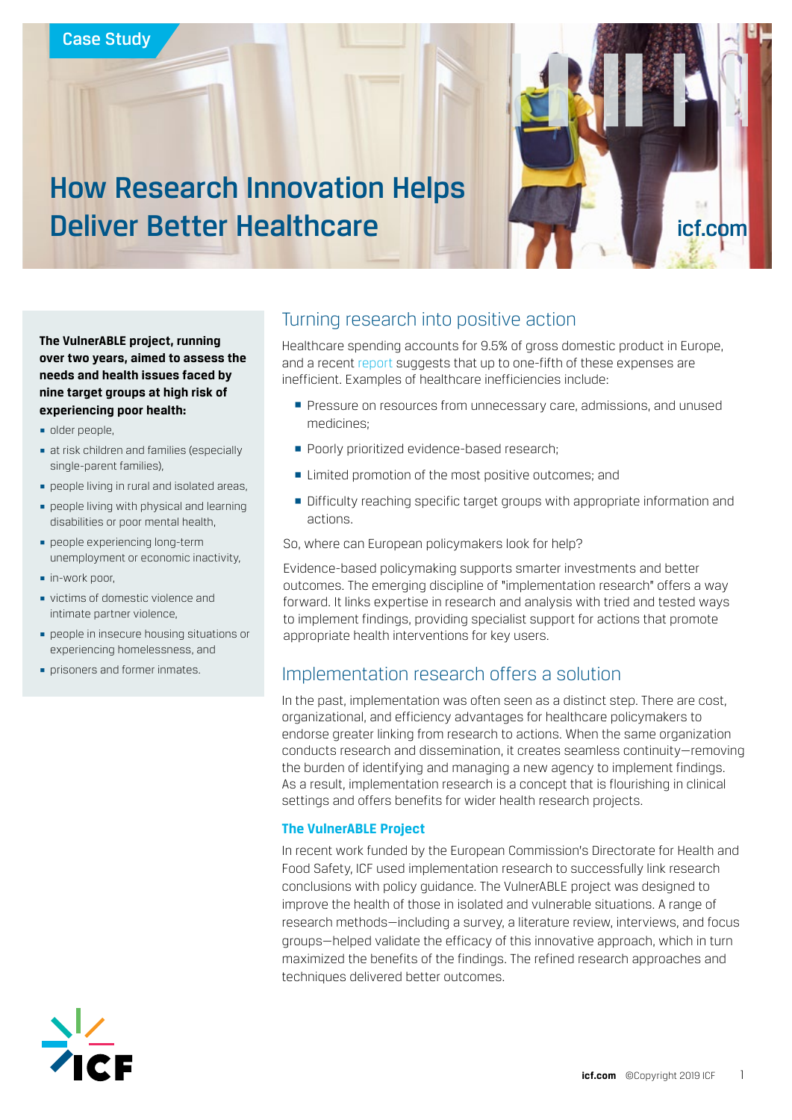

**The VulnerABLE project, running over two years, aimed to assess the needs and health issues faced by nine target groups at high risk of experiencing poor health:** 

- § older people,
- **at risk children and families (especially** single-parent families),
- § people living in rural and isolated areas,
- § people living with physical and learning disabilities or poor mental health,
- § people experiencing long-term unemployment or economic inactivity,
- in-work poor,
- § victims of domestic violence and intimate partner violence,
- **people in insecure housing situations or** experiencing homelessness, and
- § prisoners and former inmates.

# Turning research into positive action

Healthcare spending accounts for 9.5% of gross domestic product in Europe, and a recent [report](https://ec.europa.eu/health/sites/health/files/state/docs/2018_healthatglance_rep_en.pdf) suggests that up to one-fifth of these expenses are inefficient. Examples of healthcare inefficiencies include:

- **Pressure on resources from unnecessary care, admissions, and unused** medicines;
- Poorly prioritized evidence-based research;
- Limited promotion of the most positive outcomes; and
- **Difficulty reaching specific target groups with appropriate information and** actions.

So, where can European policymakers look for help?

Evidence-based policymaking supports smarter investments and better outcomes. The emerging discipline of "implementation research" offers a way forward. It links expertise in research and analysis with tried and tested ways to implement findings, providing specialist support for actions that promote appropriate health interventions for key users.

# Implementation research offers a solution

In the past, implementation was often seen as a distinct step. There are cost, organizational, and efficiency advantages for healthcare policymakers to endorse greater linking from research to actions. When the same organization conducts research and dissemination, it creates seamless continuity—removing the burden of identifying and managing a new agency to implement findings. As a result, implementation research is a concept that is flourishing in clinical settings and offers benefits for wider health research projects.

#### **The VulnerABLE Project**

In recent work funded by the European Commission's Directorate for Health and Food Safety, ICF used implementation research to successfully link research conclusions with policy guidance. The VulnerABLE project was designed to improve the health of those in isolated and vulnerable situations. A range of research methods—including a survey, a literature review, interviews, and focus groups—helped validate the efficacy of this innovative approach, which in turn maximized the benefits of the findings. The refined research approaches and techniques delivered better outcomes.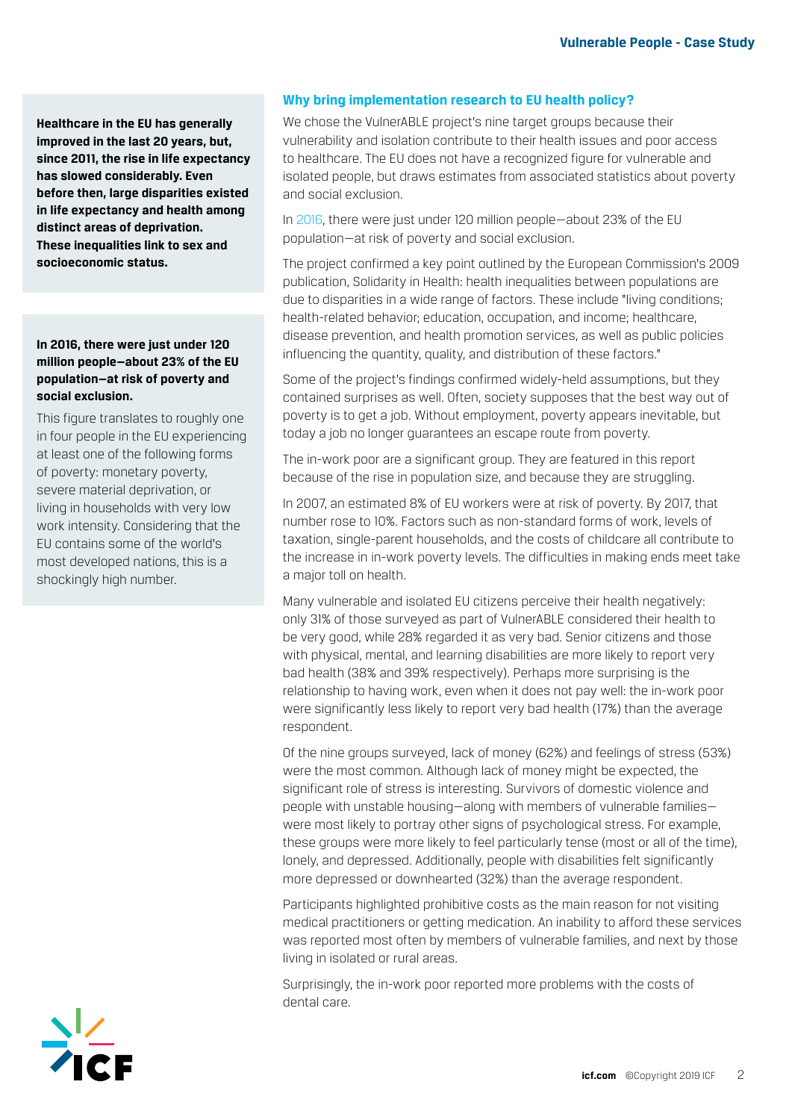**Healthcare in the EU has generally improved in the last 20 years, but, since 2011, the rise in life expectancy has slowed considerably. Even before then, large disparities existed in life expectancy and health among distinct areas of deprivation. These inequalities link to sex and socioeconomic status.** 

### **In 2016, there were just under 120 million people—about 23% of the EU population—at risk of poverty and social exclusion.**

This figure translates to roughly one in four people in the EU experiencing at least one of the following forms of poverty: monetary poverty, severe material deprivation, or living in households with very low work intensity. Considering that the EU contains some of the world's most developed nations, this is a shockingly high number.

### **Why bring implementation research to EU health policy?**

We chose the VulnerABLE project's nine target groups because their vulnerability and isolation contribute to their health issues and poor access to healthcare. The EU does not have a recognized figure for vulnerable and isolated people, but draws estimates from associated statistics about poverty and social exclusion.

In [2016,](https://ec.europa.eu/eurostat/statistics-explained/index.php/People_at_risk_of_poverty_or_social_exclusion) there were just under 120 million people—about 23% of the EU population—at risk of poverty and social exclusion.

The project confirmed a key point outlined by the European Commission's 2009 publication, Solidarity in Health: health inequalities between populations are due to disparities in a wide range of factors. These include "living conditions; health-related behavior; education, occupation, and income; healthcare, disease prevention, and health promotion services, as well as public policies influencing the quantity, quality, and distribution of these factors."

Some of the project's findings confirmed widely-held assumptions, but they contained surprises as well. Often, society supposes that the best way out of poverty is to get a job. Without employment, poverty appears inevitable, but today a job no longer guarantees an escape route from poverty.

The in-work poor are a significant group. They are featured in this report because of the rise in population size, and because they are struggling.

In 2007, an estimated 8% of EU workers were at risk of poverty. By 2017, that number rose to 10%. Factors such as non-standard forms of work, levels of taxation, single-parent households, and the costs of childcare all contribute to the increase in in-work poverty levels. The difficulties in making ends meet take a major toll on health.

Many vulnerable and isolated EU citizens perceive their health negatively: only 31% of those surveyed as part of VulnerABLE considered their health to be very good, while 28% regarded it as very bad. Senior citizens and those with physical, mental, and learning disabilities are more likely to report very bad health (38% and 39% respectively). Perhaps more surprising is the relationship to having work, even when it does not pay well: the in-work poor were significantly less likely to report very bad health (17%) than the average respondent.

Of the nine groups surveyed, lack of money (62%) and feelings of stress (53%) were the most common. Although lack of money might be expected, the significant role of stress is interesting. Survivors of domestic violence and people with unstable housing—along with members of vulnerable families were most likely to portray other signs of psychological stress. For example, these groups were more likely to feel particularly tense (most or all of the time), lonely, and depressed. Additionally, people with disabilities felt significantly more depressed or downhearted (32%) than the average respondent.

Participants highlighted prohibitive costs as the main reason for not visiting medical practitioners or getting medication. An inability to afford these services was reported most often by members of vulnerable families, and next by those living in isolated or rural areas.

Surprisingly, the in-work poor reported more problems with the costs of dental care.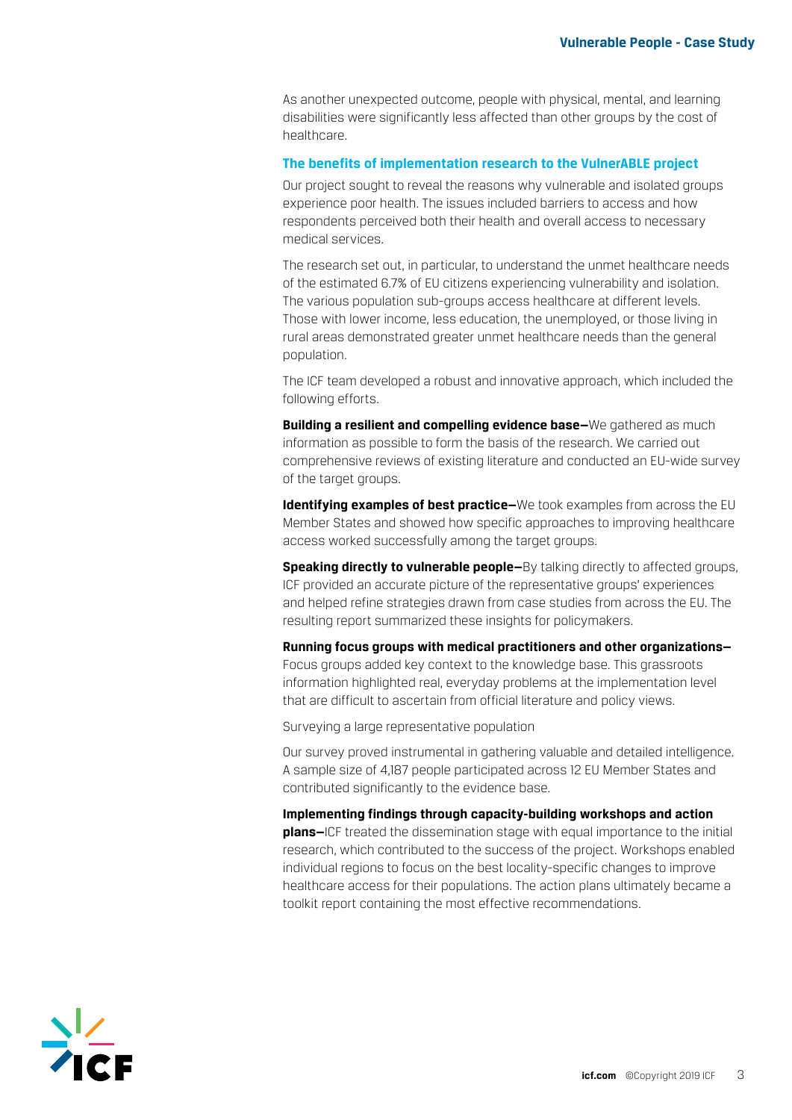As another unexpected outcome, people with physical, mental, and learning disabilities were significantly less affected than other groups by the cost of healthcare.

#### **The benefits of implementation research to the VulnerABLE project**

Our project sought to reveal the reasons why vulnerable and isolated groups experience poor health. The issues included barriers to access and how respondents perceived both their health and overall access to necessary medical services.

The research set out, in particular, to understand the unmet healthcare needs of the estimated 6.7% of EU citizens experiencing vulnerability and isolation. The various population sub-groups access healthcare at different levels. Those with lower income, less education, the unemployed, or those living in rural areas demonstrated greater unmet healthcare needs than the general population.

The ICF team developed a robust and innovative approach, which included the following efforts.

**Building a resilient and compelling evidence base—**We gathered as much information as possible to form the basis of the research. We carried out comprehensive reviews of existing literature and conducted an EU-wide survey of the target groups.

**Identifying examples of best practice—**We took examples from across the EU Member States and showed how specific approaches to improving healthcare access worked successfully among the target groups.

**Speaking directly to vulnerable people—**By talking directly to affected groups, ICF provided an accurate picture of the representative groups' experiences and helped refine strategies drawn from case studies from across the EU. The resulting report summarized these insights for policymakers.

**Running focus groups with medical practitioners and other organizations—** Focus groups added key context to the knowledge base. This grassroots information highlighted real, everyday problems at the implementation level that are difficult to ascertain from official literature and policy views.

Surveying a large representative population

Our survey proved instrumental in gathering valuable and detailed intelligence. A sample size of 4,187 people participated across 12 EU Member States and contributed significantly to the evidence base.

**Implementing findings through capacity-building workshops and action plans—**ICF treated the dissemination stage with equal importance to the initial research, which contributed to the success of the project. Workshops enabled individual regions to focus on the best locality-specific changes to improve healthcare access for their populations. The action plans ultimately became a toolkit report containing the most effective recommendations.